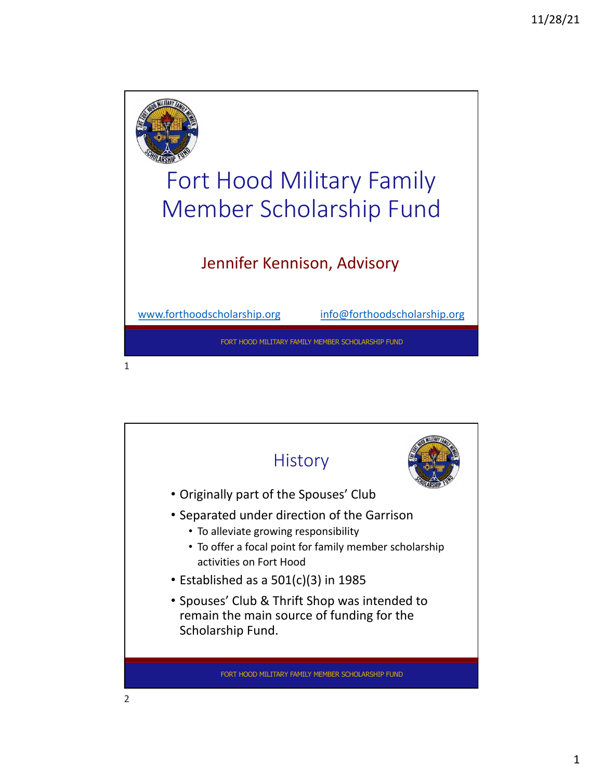

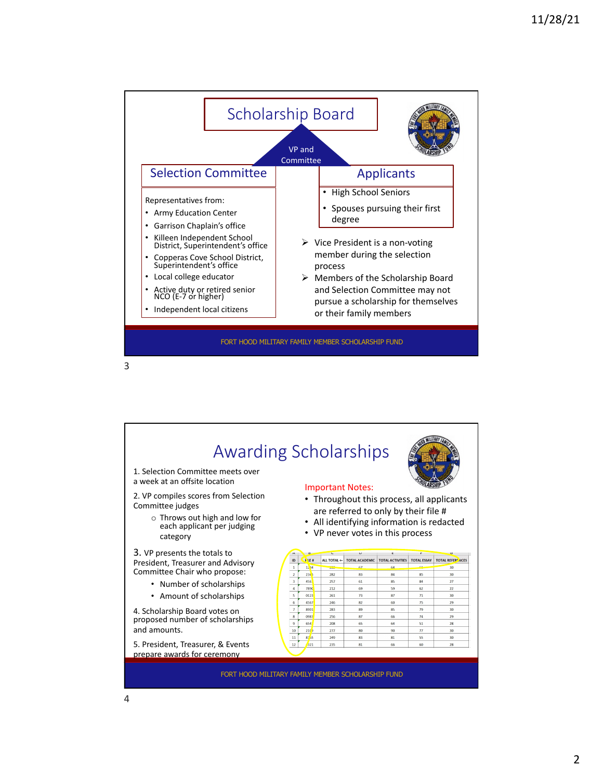

3

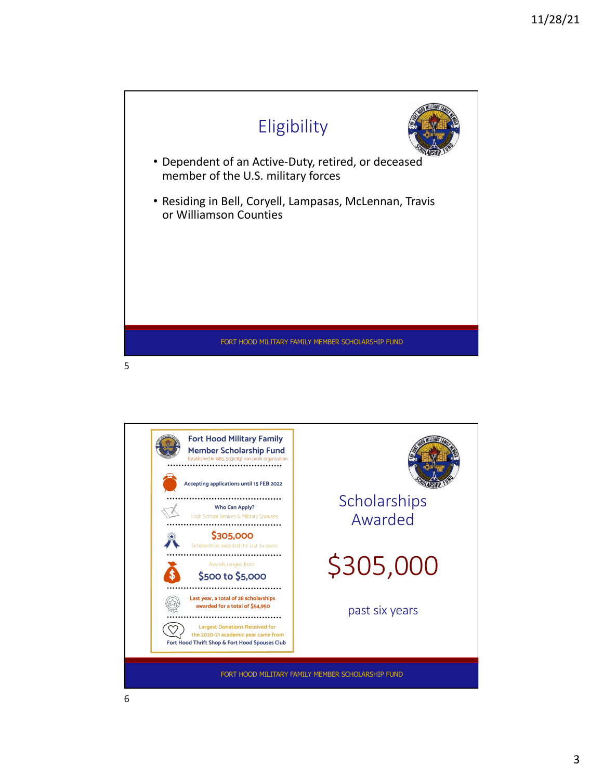



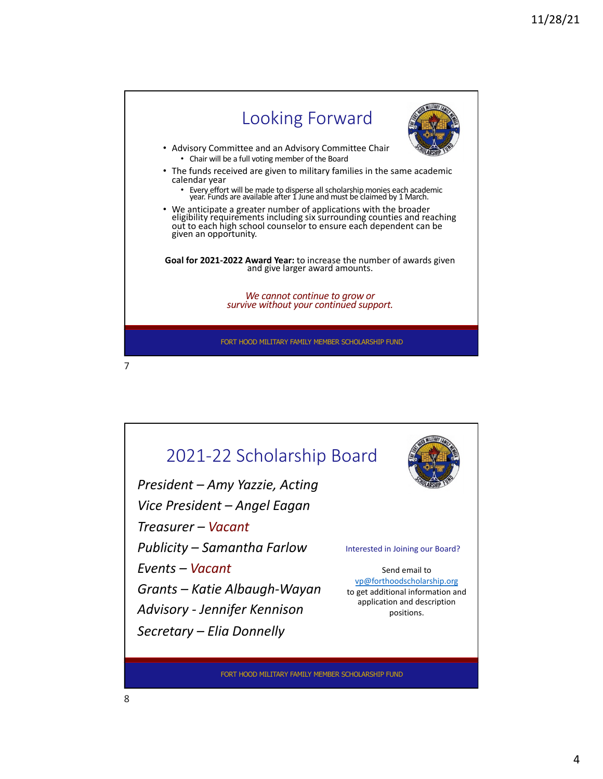



FORT HOOD MILITARY FAMILY MEMBER SCHOLARSHIP FUND